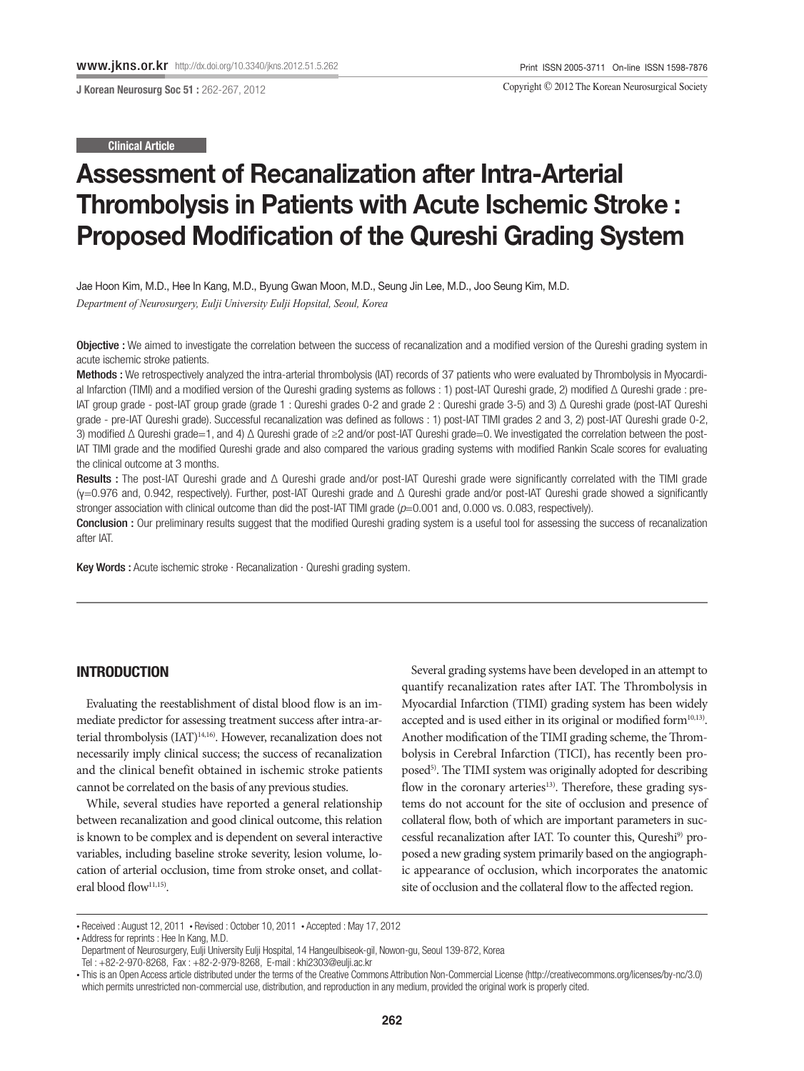J Korean Neurosurg Soc 51 : 262-267, 2012

Copyright © 2012 The Korean Neurosurgical Society

Clinical Article

# Assessment of Recanalization after Intra-Arterial Thrombolysis in Patients with Acute Ischemic Stroke : Proposed Modification of the Qureshi Grading System

Jae Hoon Kim, M.D., Hee In Kang, M.D., Byung Gwan Moon, M.D., Seung Jin Lee, M.D., Joo Seung Kim, M.D. *Department of Neurosurgery, Eulji University Eulji Hopsital, Seoul, Korea* 

Objective : We aimed to investigate the correlation between the success of recanalization and a modified version of the Qureshi grading system in acute ischemic stroke patients.

Methods : We retrospectively analyzed the intra-arterial thrombolysis (IAT) records of 37 patients who were evaluated by Thrombolysis in Myocardial Infarction (TIMI) and a modified version of the Qureshi grading systems as follows : 1) post-IAT Qureshi grade, 2) modified Δ Qureshi grade : pre-IAT group grade - post-IAT group grade (grade 1 : Qureshi grades 0-2 and grade 2 : Qureshi grade 3-5) and 3) Δ Qureshi grade (post-IAT Qureshi grade - pre-IAT Qureshi grade). Successful recanalization was defined as follows : 1) post-IAT TIMI grades 2 and 3, 2) post-IAT Qureshi grade 0-2, 3) modified Δ Qureshi grade=1, and 4) Δ Qureshi grade of ≥2 and/or post-IAT Qureshi grade=0. We investigated the correlation between the post-IAT TIMI grade and the modified Qureshi grade and also compared the various grading systems with modified Rankin Scale scores for evaluating the clinical outcome at 3 months.

Results : The post-IAT Qureshi grade and Δ Qureshi grade and/or post-IAT Qureshi grade were significantly correlated with the TIMI grade (γ=0.976 and, 0.942, respectively). Further, post-IAT Qureshi grade and Δ Qureshi grade and/or post-IAT Qureshi grade showed a significantly stronger association with clinical outcome than did the post-IAT TIMI grade ( $p=0.001$  and, 0.000 vs. 0.083, respectively).

Conclusion : Our preliminary results suggest that the modified Qureshi grading system is a useful tool for assessing the success of recanalization after IAT.

Key Words : Acute ischemic stroke · Recanalization · Qureshi grading system.

## INTRODUCTION

Evaluating the reestablishment of distal blood flow is an immediate predictor for assessing treatment success after intra-arterial thrombolysis (IAT)<sup>14,16</sup>). However, recanalization does not necessarily imply clinical success; the success of recanalization and the clinical benefit obtained in ischemic stroke patients cannot be correlated on the basis of any previous studies.

While, several studies have reported a general relationship between recanalization and good clinical outcome, this relation is known to be complex and is dependent on several interactive variables, including baseline stroke severity, lesion volume, location of arterial occlusion, time from stroke onset, and collateral blood flow $^{11,15)}$ .

Several grading systems have been developed in an attempt to quantify recanalization rates after IAT. The Thrombolysis in Myocardial Infarction (TIMI) grading system has been widely accepted and is used either in its original or modified form<sup>10,13)</sup>. Another modification of the TIMI grading scheme, the Thrombolysis in Cerebral Infarction (TICI), has recently been proposed<sup>5)</sup>. The TIMI system was originally adopted for describing flow in the coronary arteries<sup>13)</sup>. Therefore, these grading systems do not account for the site of occlusion and presence of collateral flow, both of which are important parameters in successful recanalization after IAT. To counter this, Qureshi<sup>9)</sup> proposed a new grading system primarily based on the angiographic appearance of occlusion, which incorporates the anatomic site of occlusion and the collateral flow to the affected region.

<sup>•</sup> Received : August 12, 2011 • Revised : October 10, 2011 • Accepted : May 17, 2012

<sup>•</sup> Address for reprints : Hee In Kang, M.D.

Department of Neurosurgery, Eulji University Eulji Hospital, 14 Hangeulbiseok-gil, Nowon-gu, Seoul 139-872, Korea

Tel : +82-2-970-8268, Fax : +82-2-979-8268, E-mail : khi2303@eulji.ac.kr

<sup>•</sup> This is an Open Access article distributed under the terms of the Creative Commons Attribution Non-Commercial License (http://creativecommons.org/licenses/by-nc/3.0) which permits unrestricted non-commercial use, distribution, and reproduction in any medium, provided the original work is properly cited.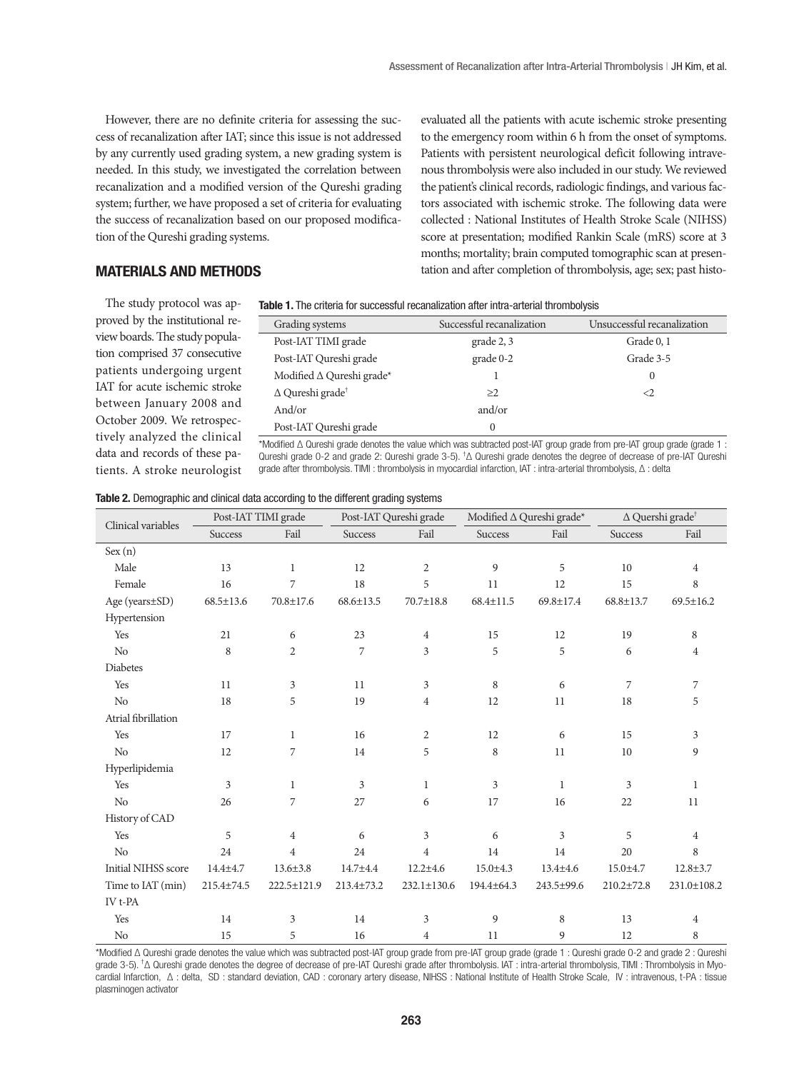However, there are no definite criteria for assessing the success of recanalization after IAT; since this issue is not addressed by any currently used grading system, a new grading system is needed. In this study, we investigated the correlation between recanalization and a modified version of the Qureshi grading system; further, we have proposed a set of criteria for evaluating the success of recanalization based on our proposed modification of the Qureshi grading systems.

evaluated all the patients with acute ischemic stroke presenting to the emergency room within 6 h from the onset of symptoms. Patients with persistent neurological deficit following intravenous thrombolysis were also included in our study. We reviewed the patient's clinical records, radiologic findings, and various factors associated with ischemic stroke. The following data were collected : National Institutes of Health Stroke Scale (NIHSS) score at presentation; modified Rankin Scale (mRS) score at 3 months; mortality; brain computed tomographic scan at presentation and after completion of thrombolysis, age; sex; past histo-

## MATERIALS AND METHODS

The study protocol was approved by the institutional review boards. The study population comprised 37 consecutive patients undergoing urgent IAT for acute ischemic stroke between January 2008 and October 2009. We retrospectively analyzed the clinical data and records of these patients. A stroke neurologist

#### Table 1. The criteria for successful recanalization after intra-arterial thrombolysis

| Grading systems                     | Successful recanalization | Unsuccessful recanalization |
|-------------------------------------|---------------------------|-----------------------------|
| Post-IAT TIMI grade                 | grade 2, 3                | Grade 0, 1                  |
| Post-IAT Qureshi grade              | grade 0-2                 | Grade 3-5                   |
| Modified ∆ Qureshi grade*           |                           | $\Omega$                    |
| $\Delta$ Qureshi grade <sup>†</sup> | >2                        | $\langle$                   |
| And/or                              | and/or                    |                             |
| Post-IAT Qureshi grade              | $\Omega$                  |                             |

\*Modified Δ Qureshi grade denotes the value which was subtracted post-IAT group grade from pre-IAT group grade (grade 1 : Qureshi grade 0-2 and grade 2: Qureshi grade 3-5). † Δ Qureshi grade denotes the degree of decrease of pre-IAT Qureshi grade after thrombolysis. TIMI : thrombolysis in myocardial infarction, IAT : intra-arterial thrombolysis, Δ : delta

| Clinical variables  |                 | Post-IAT TIMI grade<br>Post-IAT Qureshi grade |                 |                 | Modified $\Delta$ Qureshi grade* |                 | $\Delta$ Quershi grade <sup>†</sup> |                 |
|---------------------|-----------------|-----------------------------------------------|-----------------|-----------------|----------------------------------|-----------------|-------------------------------------|-----------------|
|                     | <b>Success</b>  | Fail                                          | Success         | Fail            | <b>Success</b>                   | Fail            | <b>Success</b>                      | Fail            |
| Sex(n)              |                 |                                               |                 |                 |                                  |                 |                                     |                 |
| Male                | 13              | $\mathbf{1}$                                  | 12              | $\overline{2}$  | 9                                | 5               | 10                                  | $\overline{4}$  |
| Female              | 16              | 7                                             | 18              | 5               | 11                               | 12              | 15                                  | 8               |
| Age (years±SD)      | $68.5 \pm 13.6$ | 70.8±17.6                                     | $68.6 \pm 13.5$ | $70.7 \pm 18.8$ | $68.4 \pm 11.5$                  | $69.8 \pm 17.4$ | $68.8 \pm 13.7$                     | $69.5 \pm 16.2$ |
| Hypertension        |                 |                                               |                 |                 |                                  |                 |                                     |                 |
| Yes                 | 21              | 6                                             | 23              | $\overline{4}$  | 15                               | 12              | 19                                  | 8               |
| No                  | 8               | $\overline{2}$                                | 7               | 3               | 5                                | 5               | 6                                   | $\overline{4}$  |
| Diabetes            |                 |                                               |                 |                 |                                  |                 |                                     |                 |
| Yes                 | 11              | 3                                             | 11              | 3               | 8                                | 6               | $\overline{7}$                      | $\overline{7}$  |
| No                  | 18              | 5                                             | 19              | $\overline{4}$  | 12                               | 11              | 18                                  | 5               |
| Atrial fibrillation |                 |                                               |                 |                 |                                  |                 |                                     |                 |
| Yes                 | 17              | $\mathbf{1}$                                  | 16              | $\overline{c}$  | 12                               | 6               | 15                                  | 3               |
| No                  | 12              | 7                                             | 14              | 5               | 8                                | 11              | 10                                  | 9               |
| Hyperlipidemia      |                 |                                               |                 |                 |                                  |                 |                                     |                 |
| Yes                 | 3               | 1                                             | 3               | $\mathbf{1}$    | 3                                | $\mathbf{1}$    | 3                                   | $\mathbf{1}$    |
| No                  | 26              | 7                                             | 27              | 6               | 17                               | 16              | 22                                  | 11              |
| History of CAD      |                 |                                               |                 |                 |                                  |                 |                                     |                 |
| Yes                 | 5               | $\overline{4}$                                | 6               | 3               | 6                                | 3               | 5                                   | $\overline{4}$  |
| No                  | 24              | 4                                             | 24              | $\overline{4}$  | 14                               | 14              | 20                                  | 8               |
| Initial NIHSS score | $14.4 + 4.7$    | $13.6 \pm 3.8$                                | 14.7±4.4        | $12.2 \pm 4.6$  | $15.0 \pm 4.3$                   | $13.4 \pm 4.6$  | $15.0 \pm 4.7$                      | $12.8 \pm 3.7$  |
| Time to IAT (min)   | 215.4±74.5      | 222.5±121.9                                   | 213.4±73.2      | 232.1±130.6     | $194.4 \pm 64.3$                 | 243.5±99.6      | $210.2 \pm 72.8$                    | 231.0±108.2     |
| IV t-PA             |                 |                                               |                 |                 |                                  |                 |                                     |                 |
| Yes                 | 14              | 3                                             | 14              | 3               | 9                                | 8               | 13                                  | $\overline{4}$  |
| No                  | 15              | 5                                             | 16              | $\overline{4}$  | 11                               | 9               | 12                                  | 8               |

#### Table 2. Demographic and clinical data according to the different grading systems

\*Modified Δ Qureshi grade denotes the value which was subtracted post-IAT group grade from pre-IAT group grade (grade 1 : Qureshi grade 0-2 and grade 2 : Qureshi grade 3-5). <sup>†</sup>Δ Qureshi grade denotes the degree of decrease of pre-IAT Qureshi grade after thrombolysis. IAT : intra-arterial thrombolysis, TIMI : Thrombolysis in Myocardial Infarction, Δ : delta, SD : standard deviation, CAD : coronary artery disease, NIHSS : National Institute of Health Stroke Scale, IV : intravenous, t-PA : tissue plasminogen activator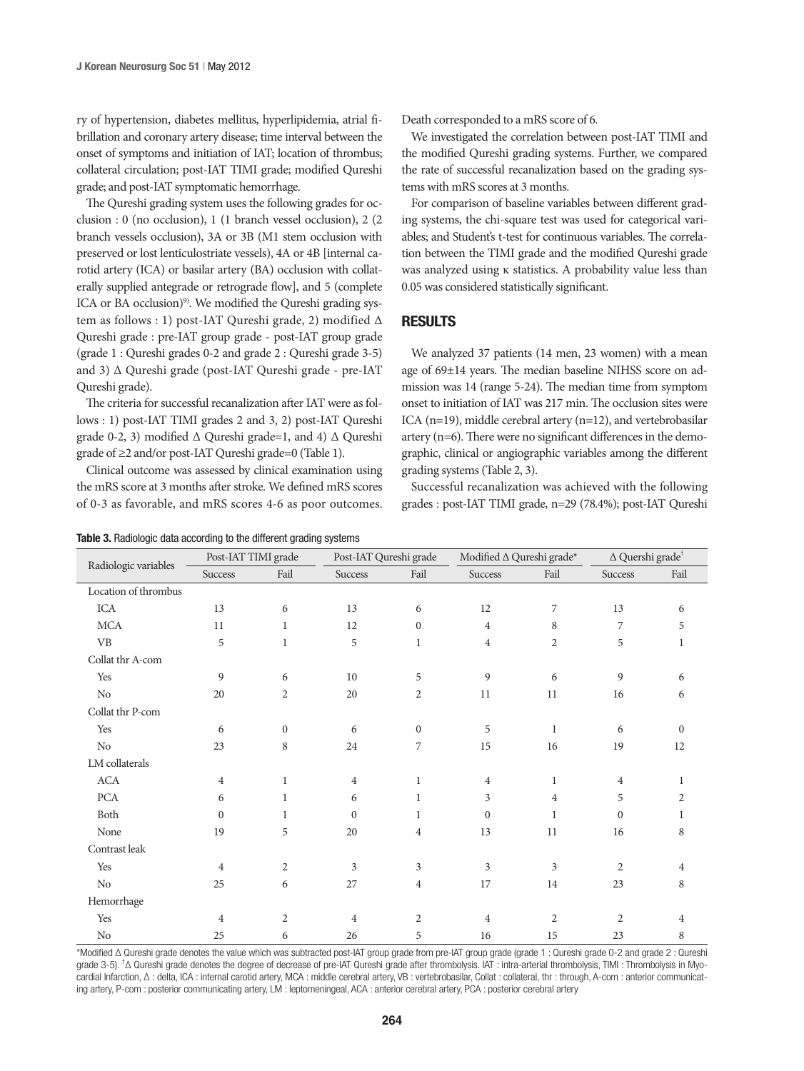ry of hypertension, diabetes mellitus, hyperlipidemia, atrial fibrillation and coronary artery disease; time interval between the onset of symptoms and initiation of IAT; location of thrombus; collateral circulation; post-IAT TIMI grade; modified Qureshi grade; and post-IAT symptomatic hemorrhage.

The Qureshi grading system uses the following grades for occlusion : 0 (no occlusion), 1 (1 branch vessel occlusion), 2 (2 branch vessels occlusion), 3A or 3B (M1 stem occlusion with preserved or lost lenticulostriate vessels), 4A or 4B [internal carotid artery (ICA) or basilar artery (BA) occlusion with collaterally supplied antegrade or retrograde flow], and 5 (complete ICA or BA occlusion)<sup>9)</sup>. We modified the Qureshi grading system as follows : 1) post-IAT Qureshi grade, 2) modified Δ Qureshi grade : pre-IAT group grade - post-IAT group grade (grade 1 : Qureshi grades 0-2 and grade 2 : Qureshi grade 3-5) and 3) Δ Qureshi grade (post-IAT Qureshi grade - pre-IAT Qureshi grade).

The criteria for successful recanalization after IAT were as follows : 1) post-IAT TIMI grades 2 and 3, 2) post-IAT Qureshi grade 0-2, 3) modified  $\Delta$  Qureshi grade=1, and 4)  $\Delta$  Qureshi grade of ≥2 and/or post-IAT Qureshi grade=0 (Table 1).

Clinical outcome was assessed by clinical examination using the mRS score at 3 months after stroke. We defined mRS scores of 0-3 as favorable, and mRS scores 4-6 as poor outcomes.

| <b>Table 3.</b> Radiologic data according to the different grading systems |  |  |  |
|----------------------------------------------------------------------------|--|--|--|
|----------------------------------------------------------------------------|--|--|--|

Death corresponded to a mRS score of 6.

We investigated the correlation between post-IAT TIMI and the modified Qureshi grading systems. Further, we compared the rate of successful recanalization based on the grading systems with mRS scores at 3 months.

For comparison of baseline variables between different grading systems, the chi-square test was used for categorical variables; and Student's t-test for continuous variables. The correlation between the TIMI grade and the modified Qureshi grade was analyzed using κ statistics. A probability value less than 0.05 was considered statistically significant.

## RESULTS

We analyzed 37 patients (14 men, 23 women) with a mean age of 69±14 years. The median baseline NIHSS score on admission was 14 (range 5-24). The median time from symptom onset to initiation of IAT was 217 min. The occlusion sites were ICA (n=19), middle cerebral artery (n=12), and vertebrobasilar artery (n=6). There were no significant differences in the demographic, clinical or angiographic variables among the different grading systems (Table 2, 3).

Successful recanalization was achieved with the following grades : post-IAT TIMI grade, n=29 (78.4%); post-IAT Qureshi

|                                                  | Post-IAT TIMI grade |                | Post-IAT Qureshi grade |                | Modified $\Delta$ Qureshi grade* |                | $\Delta$ Quershi grade <sup>†</sup> |              |
|--------------------------------------------------|---------------------|----------------|------------------------|----------------|----------------------------------|----------------|-------------------------------------|--------------|
| Radiologic variables                             | Success             | Fail           | Success                | Fail           | Success                          | Fail           | Success                             | Fail         |
| Location of thrombus                             |                     |                |                        |                |                                  |                |                                     |              |
| ICA                                              | 13                  | 6              | 13                     | 6              | 12                               | 7              | 13                                  | 6            |
| MCA                                              | 11                  | 1              | 12                     | $\mathbf{0}$   | $\overline{4}$                   | 8              | 7                                   | 5            |
| $\ensuremath{\mathsf{V}}\ensuremath{\mathsf{B}}$ | 5                   | $\mathbf{1}$   | 5                      | $\mathbf{1}$   | $\overline{4}$                   | $\overline{2}$ | 5                                   | 1            |
| Collat thr A-com                                 |                     |                |                        |                |                                  |                |                                     |              |
| Yes                                              | 9                   | 6              | 10                     | 5              | 9                                | 6              | 9                                   | 6            |
| No                                               | 20                  | $\overline{2}$ | 20                     | $\overline{2}$ | 11                               | 11             | 16                                  | 6            |
| Collat thr P-com                                 |                     |                |                        |                |                                  |                |                                     |              |
| Yes                                              | 6                   | $\mathbf{0}$   | 6                      | $\mathbf{0}$   | 5                                | $\mathbf{1}$   | 6                                   | $\mathbf{0}$ |
| No                                               | 23                  | 8              | 24                     | 7              | 15                               | 16             | 19                                  | 12           |
| LM collaterals                                   |                     |                |                        |                |                                  |                |                                     |              |
| ACA                                              | $\overline{4}$      | 1              | $\overline{4}$         | $\mathbf{1}$   | $\overline{4}$                   | 1              | 4                                   | 1            |
| ${\rm PCA}$                                      | 6                   | 1              | 6                      | 1              | 3                                | $\overline{4}$ | 5                                   | 2            |
| Both                                             | $\Omega$            | 1              | $\Omega$               | 1              | $\Omega$                         | 1              | $\mathbf{0}$                        | 1            |
| None                                             | 19                  | 5              | 20                     | $\overline{4}$ | 13                               | 11             | 16                                  | 8            |
| Contrast leak                                    |                     |                |                        |                |                                  |                |                                     |              |
| Yes                                              | $\overline{4}$      | $\overline{2}$ | 3                      | 3              | 3                                | 3              | $\overline{2}$                      | 4            |
| No                                               | 25                  | 6              | 27                     | $\overline{4}$ | 17                               | 14             | 23                                  | 8            |
| Hemorrhage                                       |                     |                |                        |                |                                  |                |                                     |              |
| Yes                                              | 4                   | $\overline{2}$ | $\overline{4}$         | $\overline{2}$ | 4                                | $\overline{2}$ | $\mathfrak{2}$                      | 4            |
| No                                               | 25                  | 6              | 26                     | 5              | 16                               | 15             | 23                                  | 8            |

\*Modified Δ Qureshi grade denotes the value which was subtracted post-IAT group grade from pre-IAT group grade (grade 1 : Qureshi grade 0-2 and grade 2 : Qureshi grade 3-5). <sup>†</sup>Δ Qureshi grade denotes the degree of decrease of pre-IAT Qureshi grade after thrombolysis. IAT : intra-arterial thrombolysis, TIMI : Thrombolysis in Myocardial Infarction, Δ : delta, ICA : internal carotid artery, MCA : middle cerebral artery, VB : vertebrobasilar, Collat : collateral, thr : through, A-com : anterior communicating artery, P-com : posterior communicating artery, LM : leptomeningeal, ACA : anterior cerebral artery, PCA : posterior cerebral artery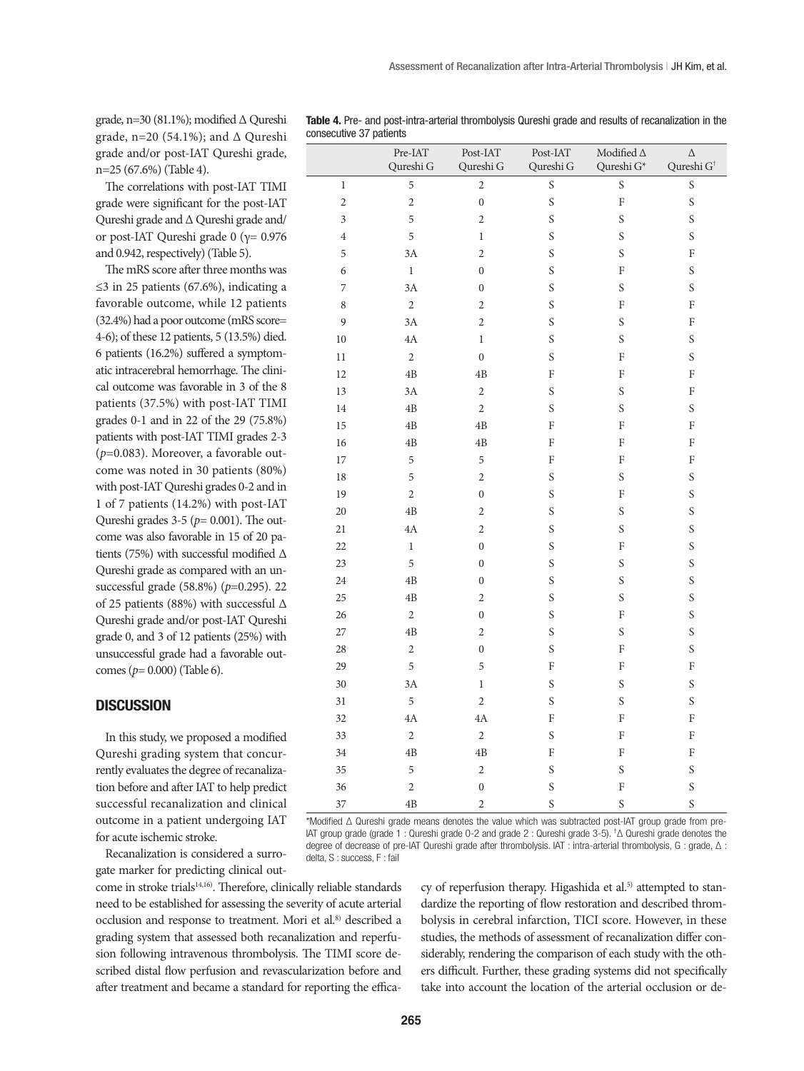grade, n=30 (81.1%); modified Δ Qureshi grade, n=20 (54.1%); and Δ Qureshi grade and/or post-IAT Qureshi grade, n=25 (67.6%) (Table 4).

The correlations with post-IAT TIMI grade were significant for the post-IAT Qureshi grade and Δ Qureshi grade and/ or post-IAT Qureshi grade 0 (γ= 0.976 and 0.942, respectively) (Table 5).

The mRS score after three months was ≤3 in 25 patients (67.6%), indicating a favorable outcome, while 12 patients (32.4%) had a poor outcome (mRS score= 4-6); of these 12 patients, 5 (13.5%) died. 6 patients (16.2%) suffered a symptomatic intracerebral hemorrhage. The clinical outcome was favorable in 3 of the 8 patients (37.5%) with post-IAT TIMI grades 0-1 and in 22 of the 29 (75.8%) patients with post-IAT TIMI grades 2-3 (*p*=0.083). Moreover, a favorable outcome was noted in 30 patients (80%) with post-IAT Qureshi grades 0-2 and in 1 of 7 patients (14.2%) with post-IAT Qureshi grades 3-5 (*p*= 0.001). The outcome was also favorable in 15 of 20 patients (75%) with successful modified Δ Qureshi grade as compared with an unsuccessful grade (58.8%) (*p*=0.295). 22 of 25 patients (88%) with successful Δ Qureshi grade and/or post-IAT Qureshi grade 0, and 3 of 12 patients (25%) with unsuccessful grade had a favorable outcomes (*p*= 0.000) (Table 6).

## **DISCUSSION**

In this study, we proposed a modified Qureshi grading system that concurrently evaluates the degree of recanalization before and after IAT to help predict successful recanalization and clinical outcome in a patient undergoing IAT for acute ischemic stroke.

Recanalization is considered a surrogate marker for predicting clinical outTable 4. Pre- and post-intra-arterial thrombolysis Qureshi grade and results of recanalization in the consecutive 37 patients

|                         | Pre-IAT<br>Qureshi G | $\operatorname{Post-LAT}$<br>Qureshi G | Post-IAT<br>Qureshi G     | Modified $\Delta$<br>Qureshi G* | $\Delta$<br>Qureshi $G^{\dagger}$ |
|-------------------------|----------------------|----------------------------------------|---------------------------|---------------------------------|-----------------------------------|
| $\,1$                   | 5                    | $\overline{c}$                         | $\mathsf S$               | $\mathsf S$                     | $\mathsf S$                       |
| $\overline{c}$          | $\overline{c}$       | $\boldsymbol{0}$                       | $\mathbf S$               | $\overline{\mathrm{F}}$         | $\mathsf S$                       |
| $\overline{\mathbf{3}}$ | 5                    | $\overline{c}$                         | $\mathsf S$               | $\mathsf S$                     | $\boldsymbol{\mathsf{S}}$         |
| $\overline{4}$          | 5                    | $\,1$                                  | $\mathsf S$               | $\mathsf S$                     | $\boldsymbol{\mathsf{S}}$         |
| 5                       | 3A                   | $\overline{c}$                         | $\mathbf S$               | $\boldsymbol{\mathsf{S}}$       | ${\bf F}$                         |
| 6                       | $\,1$                | $\mathbf 0$                            | $\mathbf S$               | $\rm F$                         | $\boldsymbol{\mathsf{S}}$         |
| $\overline{7}$          | 3A                   | $\boldsymbol{0}$                       | $\mathbf S$               | $\mathsf S$                     | $\boldsymbol{\mathsf{S}}$         |
| $\,8\,$                 | $\sqrt{2}$           | $\overline{c}$                         | $\boldsymbol{\mathsf{S}}$ | $\rm F$                         | ${\bf F}$                         |
| $\mathfrak g$           | 3A                   | $\overline{c}$                         | $\boldsymbol{\mathsf{S}}$ | $\mathbf S$                     | ${\bf F}$                         |
| $10\,$                  | 4A                   | $\,1$                                  | $\mathbf S$               | $\mathsf S$                     | $\boldsymbol{\mathsf{S}}$         |
| $11\,$                  | $\sqrt{2}$           | $\boldsymbol{0}$                       | $\mathbf S$               | $\rm F$                         | $\boldsymbol{\mathsf{S}}$         |
| $12\,$                  | $4\mathrm{B}$        | $4\mathrm{B}$                          | ${\bf F}$                 | ${\rm F}$                       | $\rm F$                           |
| 13                      | 3A                   | $\overline{c}$                         | $\mathbf S$               | $\mathbf S$                     | ${\bf F}$                         |
| $14\,$                  | $4\mathrm{B}$        | $\overline{c}$                         | $\mathsf S$               | $\mathbf S$                     | $\mathsf S$                       |
| $15\,$                  | $4\mathrm{B}$        | $4\mathrm{B}$                          | $\rm F$                   | ${\rm F}$                       | $\rm F$                           |
| 16                      | $4\mathrm{B}$        | $4\mathrm{B}$                          | ${\bf F}$                 | $\rm F$                         | ${\bf F}$                         |
| $17\,$                  | 5                    | 5                                      | ${\bf F}$                 | $\rm F$                         | ${\bf F}$                         |
| $18\,$                  | 5                    | $\overline{c}$                         | $\mathbf S$               | $\boldsymbol{\mathsf{S}}$       | $\mathsf S$                       |
| 19                      | $\overline{c}$       | $\boldsymbol{0}$                       | $\mathbf S$               | $\rm F$                         | $\mathbf S$                       |
| $20\,$                  | $4\mathrm{B}$        | $\sqrt{2}$                             | $\mathbf S$               | $\mathbf S$                     | $\boldsymbol{\mathsf{S}}$         |
| $21\,$                  | $4\mathrm{A}$        | $\overline{c}$                         | $\boldsymbol{\mathsf{S}}$ | $\mathbf S$                     | $\mathbf S$                       |
| 22                      | $\mathbf{1}$         | $\boldsymbol{0}$                       | $\mathbf S$               | $\rm F$                         | $\boldsymbol{\mathsf{S}}$         |
| 23                      | 5                    | $\boldsymbol{0}$                       | $\mathbf S$               | $\mathsf S$                     | $\mathsf S$                       |
| $24\,$                  | $4\mathrm{B}$        | $\boldsymbol{0}$                       | $\mathbf S$               | $\mathbf S$                     | $\boldsymbol{\mathsf{S}}$         |
| 25                      | $4\mathrm{B}$        | $\sqrt{2}$                             | $\mathbf S$               | $\mathsf S$                     | $\mathsf S$                       |
| $26\,$                  | $\sqrt{2}$           | $\mathbf 0$                            | $\mathbf S$               | $\rm F$                         | $\mathsf S$                       |
| $27\,$                  | $4\mathrm{B}$        | $\overline{c}$                         | $\boldsymbol{\mathsf{S}}$ | $\mathsf S$                     | $\mathsf S$                       |
| $28\,$                  | $\sqrt{2}$           | $\boldsymbol{0}$                       | $\mathbf S$               | $\rm F$                         | $\boldsymbol{\mathsf{S}}$         |
| 29                      | 5                    | 5                                      | ${\bf F}$                 | $\rm F$                         | ${\bf F}$                         |
| 30                      | 3A                   | $\,1$                                  | $\mathsf S$               | $\boldsymbol{\mathsf{S}}$       | $\mathsf S$                       |
| $31\,$                  | 5                    | $\overline{c}$                         | $\mathbf S$               | $\mathsf S$                     | $\mathbf S$                       |
| $32\,$                  | $4\mathrm{A}$        | $4\mathrm{A}$                          | ${\bf F}$                 | ${\rm F}$                       | $\mathbf F$                       |
| 33                      | $\overline{c}$       | $\overline{c}$                         | $\mathbf S$               | $\rm F$                         | $\mathbf F$                       |
| 34                      | $4\mathrm{B}$        | $4\mathrm{B}$                          | ${\bf F}$                 | $\rm F$                         | $\rm F$                           |
| 35                      | 5                    | $\sqrt{2}$                             | $\mathbf S$               | $\boldsymbol{\mathsf{S}}$       | $\boldsymbol{\mathsf{S}}$         |
| 36                      | $\overline{c}$       | $\boldsymbol{0}$                       | $\mathbf S$               | $\rm F$                         | $\mathsf S$                       |
| 37                      | 4B                   | $\overline{c}$                         | $\mathbf S$               | $\mathsf S$                     | $\mathsf S$                       |

\*Modified Δ Qureshi grade means denotes the value which was subtracted post-IAT group grade from pre-IAT group grade (grade 1 : Qureshi grade 0-2 and grade 2 : Qureshi grade 3-5). † Δ Qureshi grade denotes the degree of decrease of pre-IAT Qureshi grade after thrombolysis. IAT : intra-arterial thrombolysis, G : grade, Δ : delta, S : success, F : fail

come in stroke trials<sup>14,16</sup>). Therefore, clinically reliable standards need to be established for assessing the severity of acute arterial occlusion and response to treatment. Mori et al.<sup>8)</sup> described a grading system that assessed both recanalization and reperfusion following intravenous thrombolysis. The TIMI score described distal flow perfusion and revascularization before and after treatment and became a standard for reporting the efficacy of reperfusion therapy. Higashida et al.<sup>5)</sup> attempted to standardize the reporting of flow restoration and described thrombolysis in cerebral infarction, TICI score. However, in these studies, the methods of assessment of recanalization differ considerably, rendering the comparison of each study with the others difficult. Further, these grading systems did not specifically take into account the location of the arterial occlusion or de-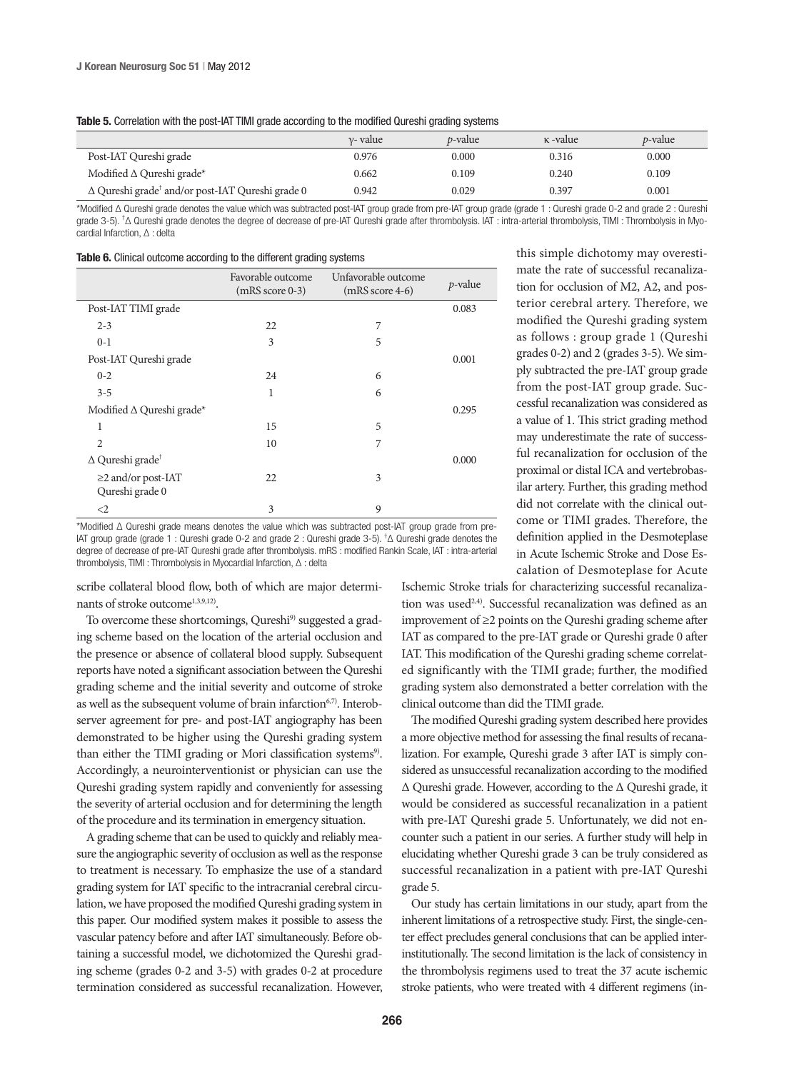|                                                                     | $v$ - value | <i>t</i> -value | κ-value | <i>p</i> -value |
|---------------------------------------------------------------------|-------------|-----------------|---------|-----------------|
| Post-IAT Qureshi grade                                              | 0.976       | 0.000           | 0.316   | 0.000           |
| Modified $\Delta$ Qureshi grade*                                    | 0.662       | 0.109           | 0.240   | 0.109           |
| $\Delta$ Qureshi grade <sup>†</sup> and/or post-IAT Qureshi grade 0 | 0.942       | 0.029           | 0.397   | 0.001           |

\*Modified Δ Qureshi grade denotes the value which was subtracted post-IAT group grade from pre-IAT group grade (grade 1 : Qureshi grade 0-2 and grade 2 : Qureshi grade 3-5). <sup>†</sup>Δ Qureshi grade denotes the degree of decrease of pre-IAT Qureshi grade after thrombolysis. IAT : intra-arterial thrombolysis, TIMI : Thrombolysis in Myocardial Infarction, Δ : delta

|  |  | <b>Table 6.</b> Clinical outcome according to the different grading systems |  |  |  |
|--|--|-----------------------------------------------------------------------------|--|--|--|
|--|--|-----------------------------------------------------------------------------|--|--|--|

|                                             | Favorable outcome<br>$(mRS score 0-3)$ | Unfavorable outcome<br>$(mRS score 4-6)$ | p-value |
|---------------------------------------------|----------------------------------------|------------------------------------------|---------|
| Post-IAT TIMI grade                         |                                        |                                          | 0.083   |
| $2 - 3$                                     | 22                                     | 7                                        |         |
| $0-1$                                       | 3                                      | 5                                        |         |
| Post-IAT Qureshi grade                      |                                        |                                          | 0.001   |
| $0 - 2$                                     | 24                                     | 6                                        |         |
| $3 - 5$                                     | 1                                      | 6                                        |         |
| Modified $\Delta$ Qureshi grade*            |                                        |                                          | 0.295   |
| 1                                           | 15                                     | 5                                        |         |
| $\overline{2}$                              | 10                                     | 7                                        |         |
| $\Delta$ Qureshi grade <sup>†</sup>         |                                        |                                          | 0.000   |
| $\geq$ 2 and/or post-IAT<br>Qureshi grade 0 | 22                                     | 3                                        |         |
| $\leq$ 2                                    | 3                                      | 9                                        |         |

\*Modified Δ Qureshi grade means denotes the value which was subtracted post-IAT group grade from pre-IAT group grade (grade 1 : Qureshi grade 0-2 and grade 2 : Qureshi grade 3-5). † Δ Qureshi grade denotes the degree of decrease of pre-IAT Qureshi grade after thrombolysis. mRS : modified Rankin Scale, IAT : intra-arterial thrombolysis, TIMI : Thrombolysis in Myocardial Infarction, Δ : delta

scribe collateral blood flow, both of which are major determinants of stroke outcome1,3,9,12).

To overcome these shortcomings, Qureshi<sup>9)</sup> suggested a grading scheme based on the location of the arterial occlusion and the presence or absence of collateral blood supply. Subsequent reports have noted a significant association between the Qureshi grading scheme and the initial severity and outcome of stroke as well as the subsequent volume of brain infarction<sup>6,7)</sup>. Interobserver agreement for pre- and post-IAT angiography has been demonstrated to be higher using the Qureshi grading system than either the TIMI grading or Mori classification systems<sup>9)</sup>. Accordingly, a neurointerventionist or physician can use the Qureshi grading system rapidly and conveniently for assessing the severity of arterial occlusion and for determining the length of the procedure and its termination in emergency situation.

A grading scheme that can be used to quickly and reliably measure the angiographic severity of occlusion as well as the response to treatment is necessary. To emphasize the use of a standard grading system for IAT specific to the intracranial cerebral circulation, we have proposed the modified Qureshi grading system in this paper. Our modified system makes it possible to assess the vascular patency before and after IAT simultaneously. Before obtaining a successful model, we dichotomized the Qureshi grading scheme (grades 0-2 and 3-5) with grades 0-2 at procedure termination considered as successful recanalization. However, this simple dichotomy may overestimate the rate of successful recanalization for occlusion of M2, A2, and posterior cerebral artery. Therefore, we modified the Qureshi grading system as follows : group grade 1 (Qureshi grades 0-2) and 2 (grades 3-5). We simply subtracted the pre-IAT group grade from the post-IAT group grade. Successful recanalization was considered as a value of 1. This strict grading method may underestimate the rate of successful recanalization for occlusion of the proximal or distal ICA and vertebrobasilar artery. Further, this grading method did not correlate with the clinical outcome or TIMI grades. Therefore, the definition applied in the Desmoteplase in Acute Ischemic Stroke and Dose Escalation of Desmoteplase for Acute

Ischemic Stroke trials for characterizing successful recanalization was used<sup>2,4)</sup>. Successful recanalization was defined as an improvement of ≥2 points on the Qureshi grading scheme after IAT as compared to the pre-IAT grade or Qureshi grade 0 after IAT. This modification of the Qureshi grading scheme correlated significantly with the TIMI grade; further, the modified grading system also demonstrated a better correlation with the clinical outcome than did the TIMI grade.

The modified Qureshi grading system described here provides a more objective method for assessing the final results of recanalization. For example, Qureshi grade 3 after IAT is simply considered as unsuccessful recanalization according to the modified Δ Qureshi grade. However, according to the Δ Qureshi grade, it would be considered as successful recanalization in a patient with pre-IAT Qureshi grade 5. Unfortunately, we did not encounter such a patient in our series. A further study will help in elucidating whether Qureshi grade 3 can be truly considered as successful recanalization in a patient with pre-IAT Qureshi grade 5.

Our study has certain limitations in our study, apart from the inherent limitations of a retrospective study. First, the single-center effect precludes general conclusions that can be applied interinstitutionally. The second limitation is the lack of consistency in the thrombolysis regimens used to treat the 37 acute ischemic stroke patients, who were treated with 4 different regimens (in